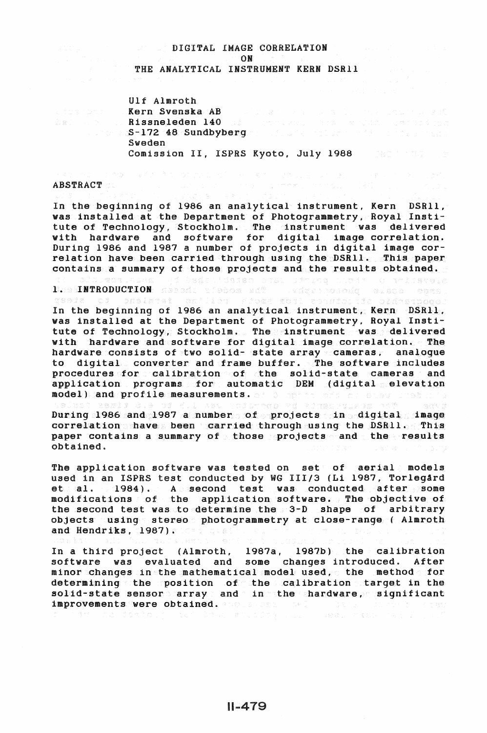# **EXECUTE: DIGITAL IMAGE CORRELATION** ON

THE ANALYTICAL INSTRUMENT KERN DSR11

Ulf Almroth Kern Svenska AB Rissneleden 140 S-172 48 .Sundbyberg .Sweden Comission II, ISPRS Kyoto, July 1988 1988 1998

na večinih prima pisanskih diplomat za

## **ABSTRACT**

In the beginning of 1986 an analytical instrument, Kern DSRll, was installed at the Department of Photogrammetry, Royal Institute of Technology, Stockholm. The instrument was delivered with hardware and software for digital image correlation. During 1986 and 1987 a number of projects in digital image correlation have been carried through using the DSRll. This paper contains a summary of those projects and the results obtained.

a a shekara na Tanzania.<br>Ta

1. INTRODUCTION ASSAL TIBEOR ALL ANGELIOION SIED OPAS. In the beginning of 1986 an analytical instrument, Kern DSR11, was installed at the Department of Photogrammetry, Royal Institute of Technology, Stockholm. The instrument was delivered with hardware and software for digital image correlation. The hardware consists of two solid- state array cameras. analogue to digital converter and frame buffer. The software includes procedures for calibration of the solid-state cameras and application programs for automatic DEM (digital elevation model) and profile measurements. of 0 opens and class upon une union

During 1986 and 1987 a number of projects in digital image correlation have been carried through using the DSR11. This paper contains a summary of those projects and the results obtained.

The application software was tested on set of aerial models used in an ISPRS test conducted by WG III/3 (Li 1987, Torlegård et al.  $1984)$ . A second test was conducted after some modifications of the application software. The objective of the second test was to determine the 3-D shape of arbitrary objects using stereo photogrammetry at close-range *(* Almroth and Hendriks, 1987). The state

In a third project (Almroth, l987a, 1987b) the calibration software was evaluated and some changes introduced. After minor changes in the mathematical model used, the method for determining the position of the calibration target in the solid-state sensor array and in the hardware, significant improvements were obtained. Mass ses selles all presents of the second service of the second second second services of the service of the service of the service of the service of the service of the service of the service o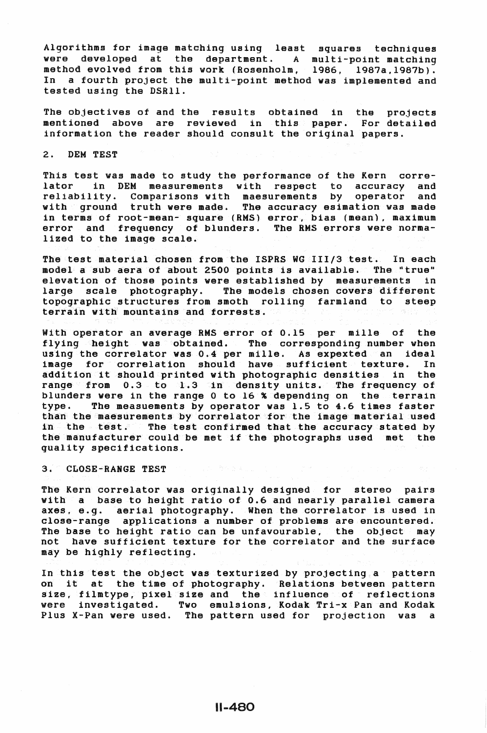Algorithms for image matching using least squares techniques were developed at the department. A multi-point matching method evolved from this work (Rosenholm, 1986, 1987a,1987b). In a fourth project the multi-point method was implemented and tested using the DSRll.

The objectives of and the results obtained in the projects mentioned above are reviewed in this paper. For detailed information the reader should consult the original papers.

#### 2. DEM TEST

This test was made to study the performance of the Kern correlator in DEM measurements with respect to accuracy and reliability. Comparisons with maesurements by operator and with ground truth were made. The accuracy esimation was made in terms of root-mean- square (RMS) error, bias (mean), maximum error and frequency of blunders. The RMS errors were normalized to the image scale.

The test material chosen from the ISPRS WG III/3 test. In each<br>model a sub aera of about 2500 points is available. The "true" model a sub aera of about 2500 points is available. elevation of those points were established by measurements in large scale photography. The models chosen covers different topographic structures from smoth rolling farmland to steep terrain with mountains and forrests.

With operator an average RMS error of 0.15 per mille of the flying height was obtained. The corresponding number when using the correlator was 0.4 per mille. As expexted an ideal image for correlation should have sufficient texture. In addition it should printed with photographic densities in the range from 0.3 to 1.3 in density units. The frequency of blunders were in the range 0 to 16 % depending on the terrain type. The measuements by operator was 1.5 to 4.6 times faster than the maesurements by correlator for the image material used<br>in the test. The test confirmed that the accuracy stated by The test confirmed that the accuracy stated by the manufacturer could be met if the photographs used met the quality specifications.

### 3. CLOSE-RANGE TEST

The Kern correlator was originally designed for stereo pairs with a base to height ratio of 0.6 and nearly parallel camera axes, e.g. aerial photography. When the correlator is used in close-range applications a number of problems are encountered. The base to height ratio can be unfavourable, the object may not have sufficient texture for the correlator and the surface may be highly reflecting.

In this test the object was texturized by projecting a pattern on it at the time of photography. Relations between pattern size, filmtype, pixel size and the influence of reflections were investigated. Two emulsions, Kodak Tri-x Pan and Kodak Plus X-Pan were used. The pattern used for projection was a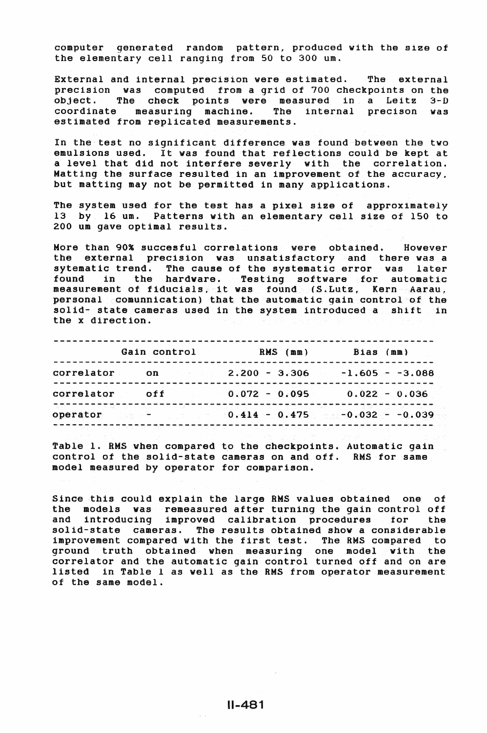computer generated random pattern, produced with the size of the elementary cell ranging from 50 to 300 um.

External and internal precision were estimated. The external precision was computed from a grid of 700 checkpoints on the object. The check points were measured in a Leitz 3-D coordinate measuring machine. The internal precison was estimated from replicated measurements.

In the test no significant difference was found between the two emulsions used. It was found that reflections could be kept at a level that did not interfere severly with the correlation. Matting the surface resulted in an improvement of the accuracy, but matting may not be permitted in many applications.

The system used for the test has a pixel size of approximately 13 by 16 um. Patterns with an elementary cell size of 150 to 200 um gave optimal results.

More than 90% succesful correlations were obtained. However the external precision was unsatisfactory and there was a sytematic trend. The cause of the systematic error was later found in the hardware. Testing software for automatic measurement of fiducials. it was found (S.Lutz, Kern Aarau, personal comunnication) that the automatic gain control of the solid- state cameras used in the system introduced a shift in the x direction.

| correlator                                                                                                                                                                                                                                                                                             | Gain control |  |                      | RMS (mm) | Bias (mm)         |  |
|--------------------------------------------------------------------------------------------------------------------------------------------------------------------------------------------------------------------------------------------------------------------------------------------------------|--------------|--|----------------------|----------|-------------------|--|
|                                                                                                                                                                                                                                                                                                        | on           |  | $2.200 - 3.306$      |          | $-1.605 - -3.088$ |  |
| correlator                                                                                                                                                                                                                                                                                             | off          |  | $0.072 - 0.095$      |          | $0.022 - 0.036$   |  |
| operator $\frac{1}{2}$ . $\frac{1}{2}$ . $\frac{1}{2}$ . $\frac{1}{2}$ . $\frac{1}{2}$ . $\frac{1}{2}$ . $\frac{1}{2}$ . $\frac{1}{2}$ . $\frac{1}{2}$ . $\frac{1}{2}$ . $\frac{1}{2}$ . $\frac{1}{2}$ . $\frac{1}{2}$ . $\frac{1}{2}$ . $\frac{1}{2}$ . $\frac{1}{2}$ . $\frac{1}{2}$ . $\frac{1}{2}$ |              |  | 지금 공동을 통해 공동을 공동하였다. |          |                   |  |

Table 1. RMS when compared to the checkpoints. Automatic gain control of the solid-state cameras on and off. RMS for same model measured by operator for comparison.

Since this could explain the large RMS values obtained one of the models was remeasured after turning the gain control off and introducing improved calibration procedures for the introducing improved calibration procedures for solid-state cameras. The results obtained show a considerable improvement compared with the first test. The RMS compared to ground truth obtained when measuring one model with the correlator and the automatic gain control turned off and on are listed in Table 1 as well as the RMS from operator measurement of the same model.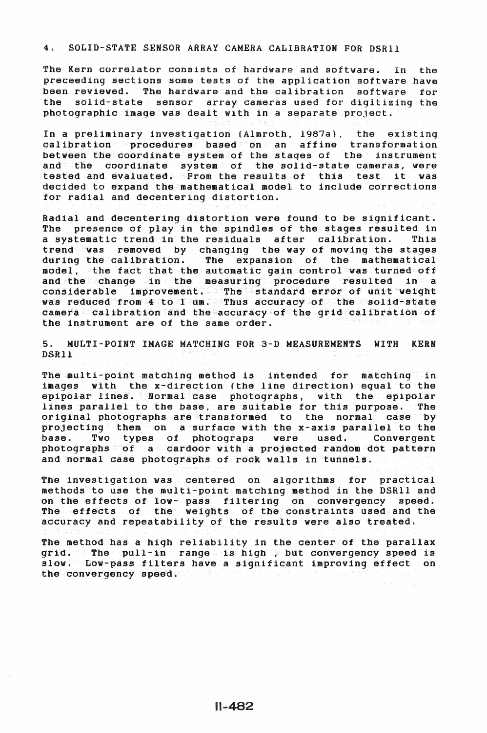#### 4. SOLID-STATE SENSOR ARRAY CAMERA CALIBRATION FOR DSRll

The Kern correlator consists of hardware and software. In preceeding sections some tests of the application software have been reviewed. The hardware and the calibration software for the solid-state sensor array cameras used for digitizing the photographic image was dealt with in a separate project. the

In a preliminary investigation (Almroth. 1987a), the existing calibration procedures based on an affine transformation between the coordinate system of the stages of the instrument and the coordinate system of the solid-state cameras, were and the coordinate system of the sorru-state cameras, were<br>tested and evaluated. From the results of this test it was decided to expand the mathematical model to include corrections for radial and decentering distortion.

Radial and decentering distortion were found to be significant. The presence of play in the spindles of the stages resulted in a systematic trend in the residuals after calibration. This trend was removed by changing the way of moving the stages during the calibration. The expansion of the mathematical model, the fact that the automatic gain control was turned off and the change in the measuring procedure resulted in a considerable improvement. The standard error of unit weight was reduced from 4 to l um. Thus accuracy of the solid-state camera calibration and the accuracy of the grid calibration of the instrument are of the same order.

5. MULTI-POINT IMAGE MATCHING FOR 3-D MEASUREMENTS WITH KERN DSRll

The multi-point matching method is intended for matching in images with the x-direction (the line direction) equal to the epipolar lines. Normal case photographs, with the epipolar lines parallel to the base, are suitable for this purpose. The original photographs are transformed to the normal case by projecting them on a surface with the x-axis parallel to the<br>base. Two types of photograps were used. Convergent Two types of photograps were used. photographs of a cardoor with a projected random dot pattern and normal case photographs of rock walls in tunnels.

The investigation was centered on algorithms for practical methods to use the multi-point matching method in the DSRll and on the effects of low- pass filtering on convergency speed. The effects of the weights of the constraints used and the accuracy and repeatability of the results were also treated.

The method has a high reliability in the center of the parallax  $grid.$  The pull-in range is high  $\gamma$  but convergency speed is slow. Low-pass filters have a significant improving effect on the convergency speed.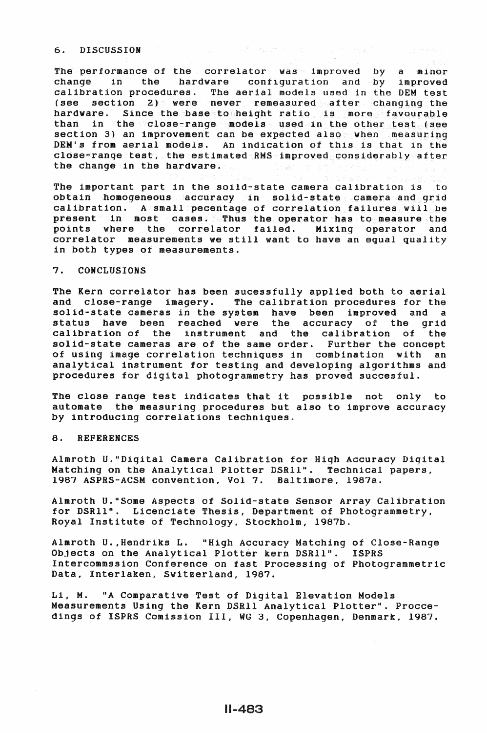#### 6. DISCUSSION

The performance of the correlator was improved by a minor<br>change in the hardware configuration and by improved in the hardware configuration and by improved calibration procedures. The aerial models used in the DEM test dailbiation procedures. The definition mediate after the section 2) were never remeasured after changing the hardware. Since the base to height ratio is more favourable than in the close-range models used in the other test (see section 3) an improvement can be expected also when measuring DEN's from aerial models. An indication of this is that in the  $close=range\_test$ , the estimated RMS improved considerably after the change in the hardware. s i ju

The important part in the soild-state camera calibration is to obtain homogeneous accuracy in solid-state camera and grid calibration. A small pecentage of correlation failures will be present in most cases. Thus the operator has to measure the points where the correlator failed. Mixing operator and correlator measurements we still want to have an equal quality in both types of measurements.

#### 7. CONCLUSIONS

The Kern correlator has been sucessfully applied both to aerial and close-range imagery. The calibration procedures for the solid-state cameras in the system have been improved and a status have been reached were the accuracy of the grid calibration of the instrument and the calibration of the solid-state cameras are of the same order. Further the concept of using image correlation techniques in combination with an analytical instrument for testing and developing algorithms and procedures for digital photogrammetry has proved succesful.

The close range test indicates that it possible not only to automate the measuring procedures but also to improve accuracy by introducing correlations techniques.

### 8. REFERENCES

Almroth U. "Digital Camera Calibration for High Accuracy Digital Matching on the Analytical Plotter DSRll". Technical papers, 1987 ASPRS-ACSM convention, Vol 7. Baltimore, 1987a.

Almroth U."Some Aspects of Solid-state Sensor Array Calibration for DSR11". Licenciate Thesis, Department of Photogrammetry, Royal Institute of Technology. Stockholm, 1987b.

Almroth U.,Hendriks L. "High Accuracy Matching of Close-Range Objects on the Analytical Plotter kern DSR11". ISPRS Intercommssion Conference on fast Processing of Photogrammetric Data, Interlaken, Switzerland, 198?.

Li, M. "A Comparative Test of Digital Elevation Models Measurements Using the Kern DSR11 Analytical Plotter". Proccedings of ISPRS Comission III, WG 3, Copenhagen, Denmark. 1987.